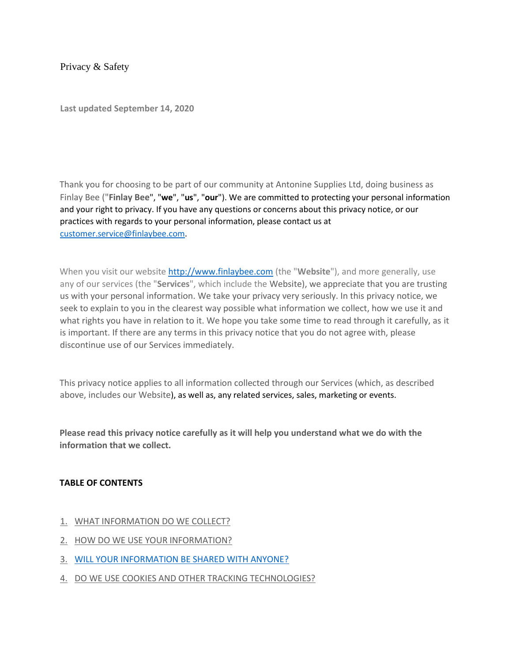Privacy & Safety

**Last updated September 14, 2020**

Thank you for choosing to be part of our community at Antonine Supplies Ltd, doing business as Finlay Bee ("**Finlay Bee**", "**we**", "**us**", "**our**"). We are committed to protecting your personal information and your right to privacy. If you have any questions or concerns about this privacy notice, or our practices with regards to your personal information, please contact us at customer.service@finlaybee.com.

When you visit our website [http://www.finlaybee.com](http://www.lochraincandles.com/) (the "**Website**"), and more generally, use any of our services (the "**Services**", which include the Website), we appreciate that you are trusting us with your personal information. We take your privacy very seriously. In this privacy notice, we seek to explain to you in the clearest way possible what information we collect, how we use it and what rights you have in relation to it. We hope you take some time to read through it carefully, as it is important. If there are any terms in this privacy notice that you do not agree with, please discontinue use of our Services immediately.

This privacy notice applies to all information collected through our Services (which, as described above, includes our Website), as well as, any related services, sales, marketing or events.

**Please read this privacy notice carefully as it will help you understand what we do with the information that we collect.**

#### **TABLE OF CONTENTS**

- 1. [WHAT INFORMATION DO WE COLLECT?](https://app.termly.io/dashboard/website/580764/privacy-policy#infocollect)
- 2. [HOW DO WE USE YOUR INFORMATION?](https://app.termly.io/dashboard/website/580764/privacy-policy#infouse)
- 3. [WILL YOUR INFORMATION BE SHARED WITH ANYONE?](https://app.termly.io/dashboard/website/580764/privacy-policy#infoshare)
- 4. [DO WE USE COOKIES AND OTHER TRACKING TECHNOLOGIES?](https://app.termly.io/dashboard/website/580764/privacy-policy#cookies)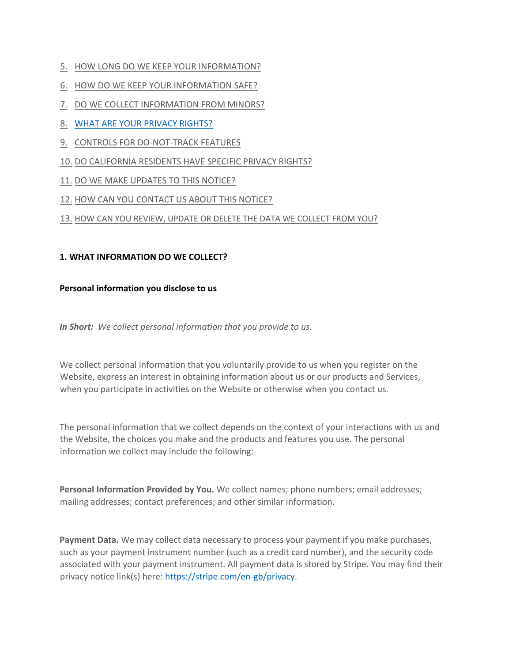- 5. [HOW LONG DO WE KEEP YOUR INFORMATION?](https://app.termly.io/dashboard/website/580764/privacy-policy#inforetain)
- 6. [HOW DO WE KEEP YOUR INFORMATION SAFE?](https://app.termly.io/dashboard/website/580764/privacy-policy#infosafe)
- 7. [DO WE COLLECT INFORMATION FROM MINORS?](https://app.termly.io/dashboard/website/580764/privacy-policy#infominors)
- 8. [WHAT ARE YOUR PRIVACY RIGHTS?](https://app.termly.io/dashboard/website/580764/privacy-policy#privacyrights)
- 9. [CONTROLS FOR DO-NOT-TRACK FEATURES](https://app.termly.io/dashboard/website/580764/privacy-policy#DNT)
- 10. [DO CALIFORNIA RESIDENTS HAVE SPECIFIC PRIVACY RIGHTS?](https://app.termly.io/dashboard/website/580764/privacy-policy#caresidents)
- 11. [DO WE MAKE UPDATES TO THIS NOTICE?](https://app.termly.io/dashboard/website/580764/privacy-policy#policyupdates)
- 12. [HOW CAN YOU CONTACT US ABOUT THIS NOTICE?](https://app.termly.io/dashboard/website/580764/privacy-policy#contact)

### 13. [HOW CAN YOU REVIEW, UPDATE OR DELETE THE DATA WE COLLECT FROM YOU?](https://app.termly.io/dashboard/website/580764/privacy-policy#request)

### **1. WHAT INFORMATION DO WE COLLECT?**

### **Personal information you disclose to us**

*In Short: We collect personal information that you provide to us.*

We collect personal information that you voluntarily provide to us when you register on the Website, express an interest in obtaining information about us or our products and Services, when you participate in activities on the Website or otherwise when you contact us.

The personal information that we collect depends on the context of your interactions with us and the Website, the choices you make and the products and features you use. The personal information we collect may include the following:

**Personal Information Provided by You.** We collect names; phone numbers; email addresses; mailing addresses; contact preferences; and other similar information.

**Payment Data.** We may collect data necessary to process your payment if you make purchases, such as your payment instrument number (such as a credit card number), and the security code associated with your payment instrument. All payment data is stored by Stripe. You may find their privacy notice link(s) here: [https://stripe.com/en-gb/privacy.](https://stripe.com/en-gb/privacy)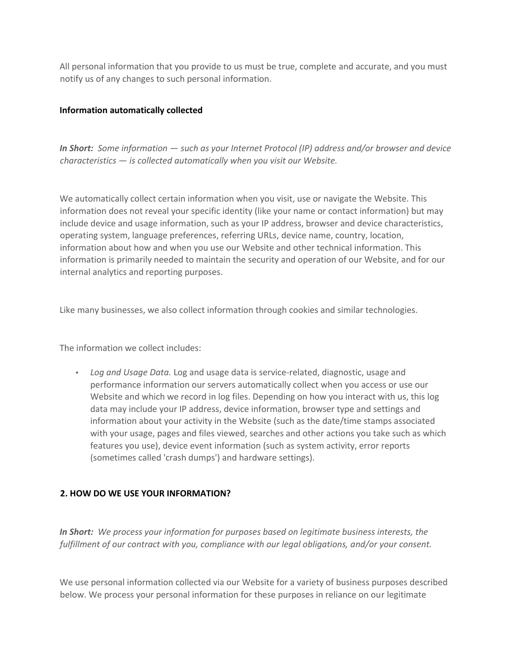All personal information that you provide to us must be true, complete and accurate, and you must notify us of any changes to such personal information.

### **Information automatically collected**

*In Short: Some information — such as your Internet Protocol (IP) address and/or browser and device characteristics — is collected automatically when you visit our Website.*

We automatically collect certain information when you visit, use or navigate the Website. This information does not reveal your specific identity (like your name or contact information) but may include device and usage information, such as your IP address, browser and device characteristics, operating system, language preferences, referring URLs, device name, country, location, information about how and when you use our Website and other technical information. This information is primarily needed to maintain the security and operation of our Website, and for our internal analytics and reporting purposes.

Like many businesses, we also collect information through cookies and similar technologies.

The information we collect includes:

• *Log and Usage Data.* Log and usage data is service-related, diagnostic, usage and performance information our servers automatically collect when you access or use our Website and which we record in log files. Depending on how you interact with us, this log data may include your IP address, device information, browser type and settings and information about your activity in the Website (such as the date/time stamps associated with your usage, pages and files viewed, searches and other actions you take such as which features you use), device event information (such as system activity, error reports (sometimes called 'crash dumps') and hardware settings).

### **2. HOW DO WE USE YOUR INFORMATION?**

*In Short: We process your information for purposes based on legitimate business interests, the fulfillment of our contract with you, compliance with our legal obligations, and/or your consent.*

We use personal information collected via our Website for a variety of business purposes described below. We process your personal information for these purposes in reliance on our legitimate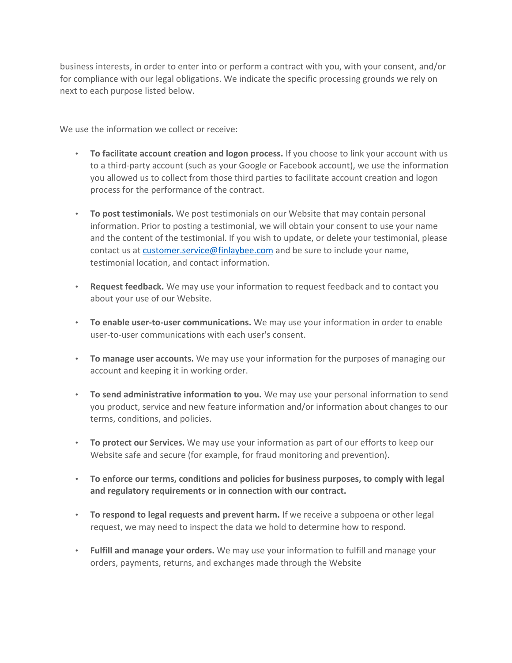business interests, in order to enter into or perform a contract with you, with your consent, and/or for compliance with our legal obligations. We indicate the specific processing grounds we rely on next to each purpose listed below.

We use the information we collect or receive:

- **To facilitate account creation and logon process.** If you choose to link your account with us to a third-party account (such as your Google or Facebook account), we use the information you allowed us to collect from those third parties to facilitate account creation and logon process for the performance of the contract.
- **To post testimonials.** We post testimonials on our Website that may contain personal information. Prior to posting a testimonial, we will obtain your consent to use your name and the content of the testimonial. If you wish to update, or delete your testimonial, please contact us at customer.service@finlaybee.com and be sure to include your name, testimonial location, and contact information.
- **Request feedback.** We may use your information to request feedback and to contact you about your use of our Website.
- **To enable user-to-user communications.** We may use your information in order to enable user-to-user communications with each user's consent.
- **To manage user accounts.** We may use your information for the purposes of managing our account and keeping it in working order.
- **To send administrative information to you.** We may use your personal information to send you product, service and new feature information and/or information about changes to our terms, conditions, and policies.
- **To protect our Services.** We may use your information as part of our efforts to keep our Website safe and secure (for example, for fraud monitoring and prevention).
- **To enforce our terms, conditions and policies for business purposes, to comply with legal and regulatory requirements or in connection with our contract.**
- **To respond to legal requests and prevent harm.** If we receive a subpoena or other legal request, we may need to inspect the data we hold to determine how to respond.
- **Fulfill and manage your orders.** We may use your information to fulfill and manage your orders, payments, returns, and exchanges made through the Website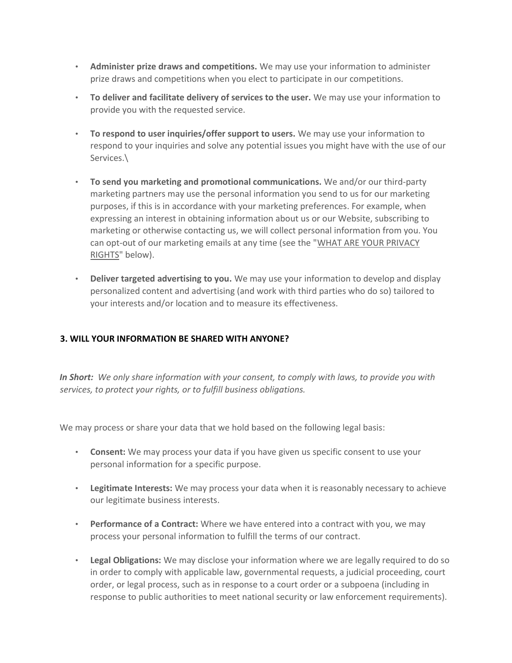- **Administer prize draws and competitions.** We may use your information to administer prize draws and competitions when you elect to participate in our competitions.
- **To deliver and facilitate delivery of services to the user.** We may use your information to provide you with the requested service.
- **To respond to user inquiries/offer support to users.** We may use your information to respond to your inquiries and solve any potential issues you might have with the use of our Services.\
- **To send you marketing and promotional communications.** We and/or our third-party marketing partners may use the personal information you send to us for our marketing purposes, if this is in accordance with your marketing preferences. For example, when expressing an interest in obtaining information about us or our Website, subscribing to marketing or otherwise contacting us, we will collect personal information from you. You can opt-out of our marketing emails at any time (see the ["WHAT ARE YOUR PRIVACY](https://app.termly.io/dashboard/website/580764/privacy-policy#privacyrights) [RIGHTS"](https://app.termly.io/dashboard/website/580764/privacy-policy#privacyrights) below).
- **Deliver targeted advertising to you.** We may use your information to develop and display personalized content and advertising (and work with third parties who do so) tailored to your interests and/or location and to measure its effectiveness.

# **3. WILL YOUR INFORMATION BE SHARED WITH ANYONE?**

*In Short: We only share information with your consent, to comply with laws, to provide you with services, to protect your rights, or to fulfill business obligations.*

We may process or share your data that we hold based on the following legal basis:

- **Consent:** We may process your data if you have given us specific consent to use your personal information for a specific purpose.
- **Legitimate Interests:** We may process your data when it is reasonably necessary to achieve our legitimate business interests.
- **Performance of a Contract:** Where we have entered into a contract with you, we may process your personal information to fulfill the terms of our contract.
- **Legal Obligations:** We may disclose your information where we are legally required to do so in order to comply with applicable law, governmental requests, a judicial proceeding, court order, or legal process, such as in response to a court order or a subpoena (including in response to public authorities to meet national security or law enforcement requirements).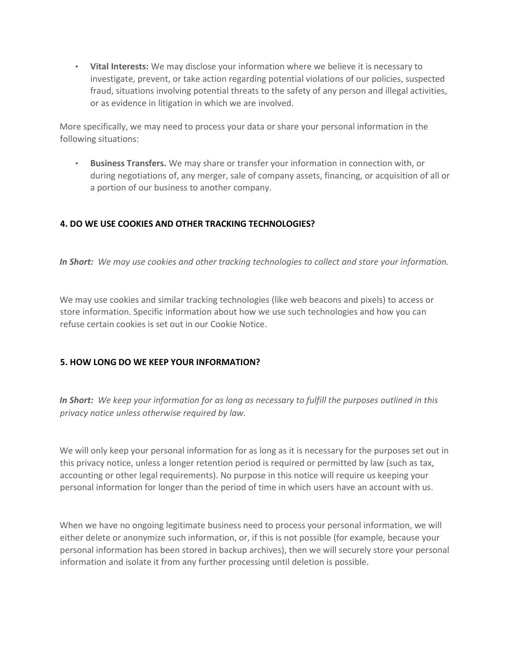• **Vital Interests:** We may disclose your information where we believe it is necessary to investigate, prevent, or take action regarding potential violations of our policies, suspected fraud, situations involving potential threats to the safety of any person and illegal activities, or as evidence in litigation in which we are involved.

More specifically, we may need to process your data or share your personal information in the following situations:

• **Business Transfers.** We may share or transfer your information in connection with, or during negotiations of, any merger, sale of company assets, financing, or acquisition of all or a portion of our business to another company.

# **4. DO WE USE COOKIES AND OTHER TRACKING TECHNOLOGIES?**

*In Short: We may use cookies and other tracking technologies to collect and store your information.*

We may use cookies and similar tracking technologies (like web beacons and pixels) to access or store information. Specific information about how we use such technologies and how you can refuse certain cookies is set out in our Cookie Notice.

# **5. HOW LONG DO WE KEEP YOUR INFORMATION?**

*In Short: We keep your information for as long as necessary to fulfill the purposes outlined in this privacy notice unless otherwise required by law.*

We will only keep your personal information for as long as it is necessary for the purposes set out in this privacy notice, unless a longer retention period is required or permitted by law (such as tax, accounting or other legal requirements). No purpose in this notice will require us keeping your personal information for longer than the period of time in which users have an account with us.

When we have no ongoing legitimate business need to process your personal information, we will either delete or anonymize such information, or, if this is not possible (for example, because your personal information has been stored in backup archives), then we will securely store your personal information and isolate it from any further processing until deletion is possible.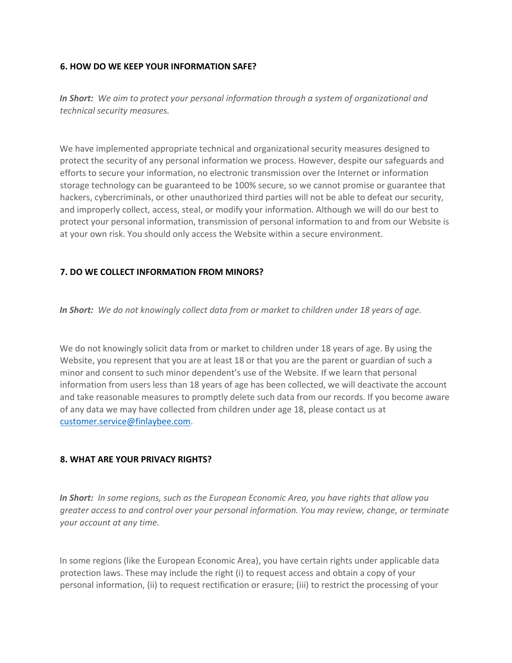### **6. HOW DO WE KEEP YOUR INFORMATION SAFE?**

*In Short: We aim to protect your personal information through a system of organizational and technical security measures.*

We have implemented appropriate technical and organizational security measures designed to protect the security of any personal information we process. However, despite our safeguards and efforts to secure your information, no electronic transmission over the Internet or information storage technology can be guaranteed to be 100% secure, so we cannot promise or guarantee that hackers, cybercriminals, or other unauthorized third parties will not be able to defeat our security, and improperly collect, access, steal, or modify your information. Although we will do our best to protect your personal information, transmission of personal information to and from our Website is at your own risk. You should only access the Website within a secure environment.

### **7. DO WE COLLECT INFORMATION FROM MINORS?**

*In Short: We do not knowingly collect data from or market to children under 18 years of age.*

We do not knowingly solicit data from or market to children under 18 years of age. By using the Website, you represent that you are at least 18 or that you are the parent or guardian of such a minor and consent to such minor dependent's use of the Website. If we learn that personal information from users less than 18 years of age has been collected, we will deactivate the account and take reasonable measures to promptly delete such data from our records. If you become aware of any data we may have collected from children under age 18, please contact us at customer.service@finlaybee.com.

### **8. WHAT ARE YOUR PRIVACY RIGHTS?**

*In Short: In some regions, such as the European Economic Area, you have rights that allow you greater access to and control over your personal information. You may review, change, or terminate your account at any time.*

In some regions (like the European Economic Area), you have certain rights under applicable data protection laws. These may include the right (i) to request access and obtain a copy of your personal information, (ii) to request rectification or erasure; (iii) to restrict the processing of your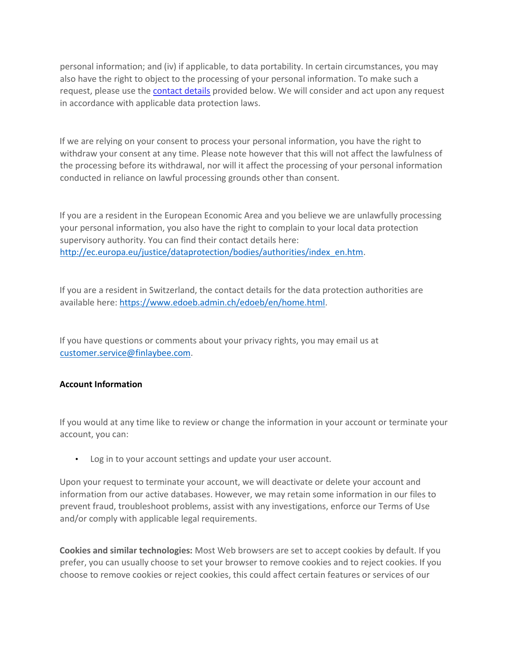personal information; and (iv) if applicable, to data portability. In certain circumstances, you may also have the right to object to the processing of your personal information. To make such a request, please use the **contact details** provided below. We will consider and act upon any request in accordance with applicable data protection laws.

If we are relying on your consent to process your personal information, you have the right to withdraw your consent at any time. Please note however that this will not affect the lawfulness of the processing before its withdrawal, nor will it affect the processing of your personal information conducted in reliance on lawful processing grounds other than consent.

If you are a resident in the European Economic Area and you believe we are unlawfully processing your personal information, you also have the right to complain to your local data protection supervisory authority. You can find their contact details here: [http://ec.europa.eu/justice/dataprotection/bodies/authorities/index\\_en.htm.](http://ec.europa.eu/justice/data-protection/bodies/authorities/index_en.htm)

If you are a resident in Switzerland, the contact details for the data protection authorities are available here: [https://www.edoeb.admin.ch/edoeb/en/home.html.](https://www.edoeb.admin.ch/edoeb/en/home.html)

If you have questions or comments about your privacy rights, you may email us at customer.service@finlaybee.com.

### **Account Information**

If you would at any time like to review or change the information in your account or terminate your account, you can:

• Log in to your account settings and update your user account.

Upon your request to terminate your account, we will deactivate or delete your account and information from our active databases. However, we may retain some information in our files to prevent fraud, troubleshoot problems, assist with any investigations, enforce our Terms of Use and/or comply with applicable legal requirements.

**Cookies and similar technologies:** Most Web browsers are set to accept cookies by default. If you prefer, you can usually choose to set your browser to remove cookies and to reject cookies. If you choose to remove cookies or reject cookies, this could affect certain features or services of our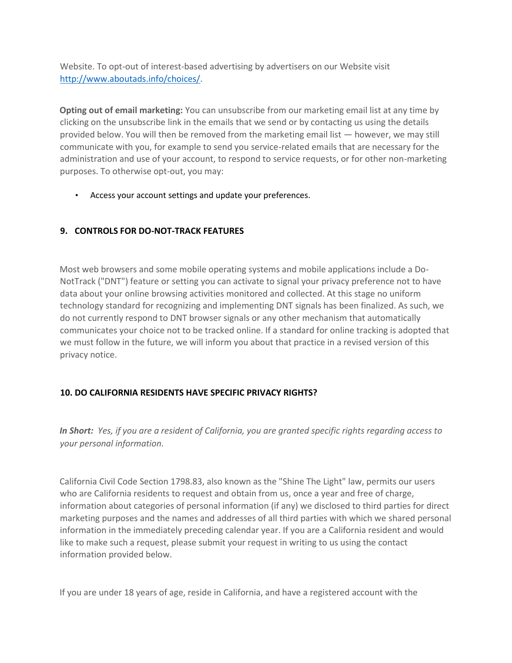Website. To opt-out of interest-based advertising by advertisers on our Website visit [http://www.aboutads.info/choices/.](http://www.aboutads.info/choices/) 

**Opting out of email marketing:** You can unsubscribe from our marketing email list at any time by clicking on the unsubscribe link in the emails that we send or by contacting us using the details provided below. You will then be removed from the marketing email list — however, we may still communicate with you, for example to send you service-related emails that are necessary for the administration and use of your account, to respond to service requests, or for other non-marketing purposes. To otherwise opt-out, you may:

• Access your account settings and update your preferences.

# **9. CONTROLS FOR DO-NOT-TRACK FEATURES**

Most web browsers and some mobile operating systems and mobile applications include a Do-NotTrack ("DNT") feature or setting you can activate to signal your privacy preference not to have data about your online browsing activities monitored and collected. At this stage no uniform technology standard for recognizing and implementing DNT signals has been finalized. As such, we do not currently respond to DNT browser signals or any other mechanism that automatically communicates your choice not to be tracked online. If a standard for online tracking is adopted that we must follow in the future, we will inform you about that practice in a revised version of this privacy notice.

# **10. DO CALIFORNIA RESIDENTS HAVE SPECIFIC PRIVACY RIGHTS?**

*In Short: Yes, if you are a resident of California, you are granted specific rights regarding access to your personal information.*

California Civil Code Section 1798.83, also known as the "Shine The Light" law, permits our users who are California residents to request and obtain from us, once a year and free of charge, information about categories of personal information (if any) we disclosed to third parties for direct marketing purposes and the names and addresses of all third parties with which we shared personal information in the immediately preceding calendar year. If you are a California resident and would like to make such a request, please submit your request in writing to us using the contact information provided below.

If you are under 18 years of age, reside in California, and have a registered account with the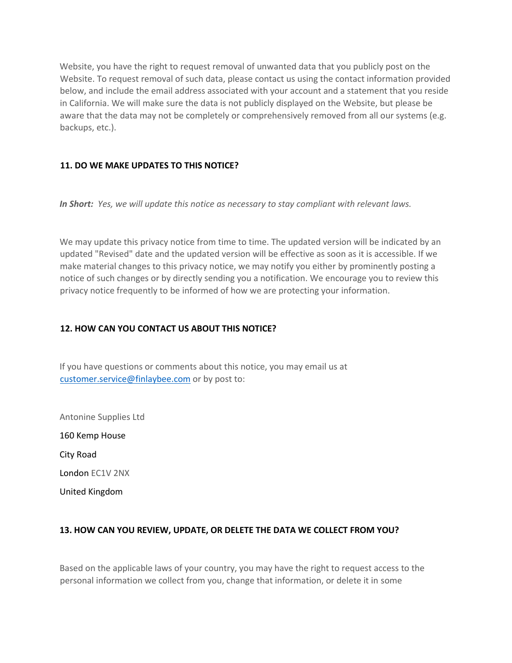Website, you have the right to request removal of unwanted data that you publicly post on the Website. To request removal of such data, please contact us using the contact information provided below, and include the email address associated with your account and a statement that you reside in California. We will make sure the data is not publicly displayed on the Website, but please be aware that the data may not be completely or comprehensively removed from all our systems (e.g. backups, etc.).

### **11. DO WE MAKE UPDATES TO THIS NOTICE?**

*In Short: Yes, we will update this notice as necessary to stay compliant with relevant laws.*

We may update this privacy notice from time to time. The updated version will be indicated by an updated "Revised" date and the updated version will be effective as soon as it is accessible. If we make material changes to this privacy notice, we may notify you either by prominently posting a notice of such changes or by directly sending you a notification. We encourage you to review this privacy notice frequently to be informed of how we are protecting your information.

### **12. HOW CAN YOU CONTACT US ABOUT THIS NOTICE?**

If you have questions or comments about this notice, you may email us at customer.service@finlaybee.com or by post to:

Antonine Supplies Ltd 160 Kemp House City Road London EC1V 2NX United Kingdom

# **13. HOW CAN YOU REVIEW, UPDATE, OR DELETE THE DATA WE COLLECT FROM YOU?**

Based on the applicable laws of your country, you may have the right to request access to the personal information we collect from you, change that information, or delete it in some